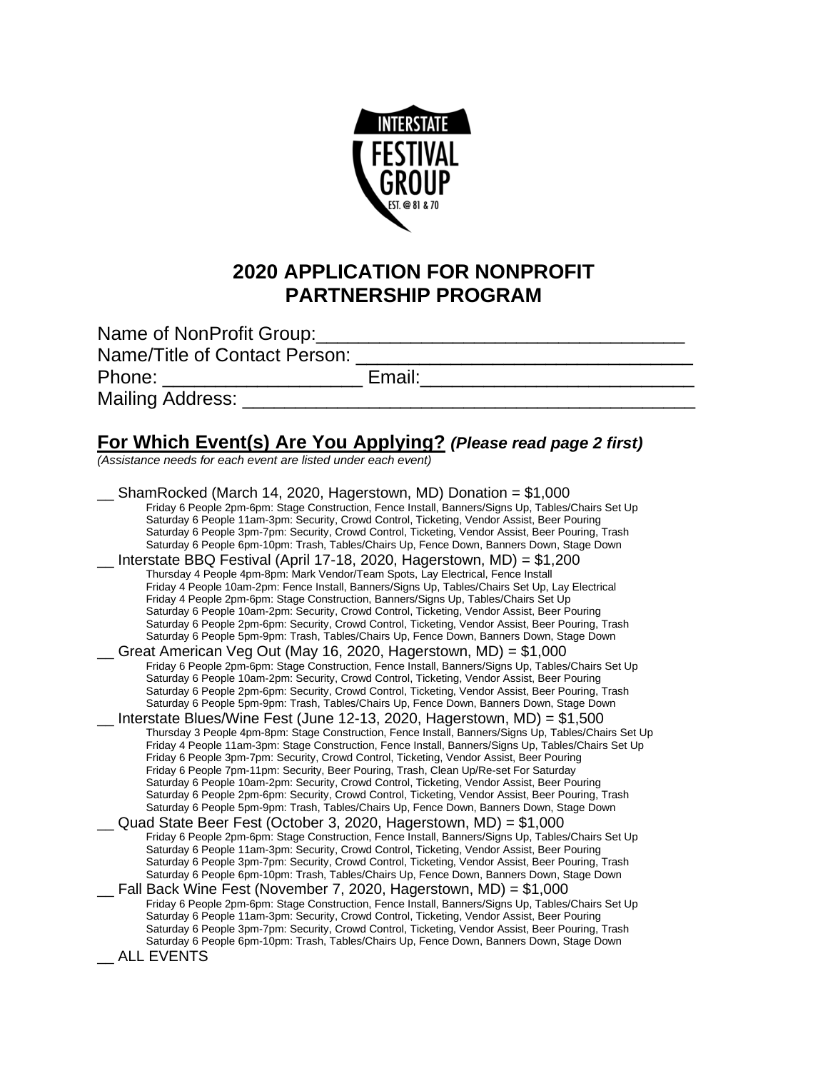

## **2020 APPLICATION FOR NONPROFIT PARTNERSHIP PROGRAM**

| Name of NonProfit Group:      |        |
|-------------------------------|--------|
| Name/Title of Contact Person: |        |
| Phone:                        | Email: |
| Mailing Address:              |        |

## **For Which Event(s) Are You Applying?** *(Please read page 2 first)*

*(Assistance needs for each event are listed under each event)*

ShamRocked (March 14, 2020, Hagerstown, MD) Donation =  $$1,000$ Friday 6 People 2pm-6pm: Stage Construction, Fence Install, Banners/Signs Up, Tables/Chairs Set Up Saturday 6 People 11am-3pm: Security, Crowd Control, Ticketing, Vendor Assist, Beer Pouring Saturday 6 People 3pm-7pm: Security, Crowd Control, Ticketing, Vendor Assist, Beer Pouring, Trash Saturday 6 People 6pm-10pm: Trash, Tables/Chairs Up, Fence Down, Banners Down, Stage Down \_\_ Interstate BBQ Festival (April 17-18, 2020, Hagerstown, MD) = \$1,200 Thursday 4 People 4pm-8pm: Mark Vendor/Team Spots, Lay Electrical, Fence Install Friday 4 People 10am-2pm: Fence Install, Banners/Signs Up, Tables/Chairs Set Up, Lay Electrical Friday 4 People 2pm-6pm: Stage Construction, Banners/Signs Up, Tables/Chairs Set Up Saturday 6 People 10am-2pm: Security, Crowd Control, Ticketing, Vendor Assist, Beer Pouring Saturday 6 People 2pm-6pm: Security, Crowd Control, Ticketing, Vendor Assist, Beer Pouring, Trash Saturday 6 People 5pm-9pm: Trash, Tables/Chairs Up, Fence Down, Banners Down, Stage Down Great American Veg Out (May 16, 2020, Hagerstown, MD) =  $$1,000$ Friday 6 People 2pm-6pm: Stage Construction, Fence Install, Banners/Signs Up, Tables/Chairs Set Up Saturday 6 People 10am-2pm: Security, Crowd Control, Ticketing, Vendor Assist, Beer Pouring Saturday 6 People 2pm-6pm: Security, Crowd Control, Ticketing, Vendor Assist, Beer Pouring, Trash Saturday 6 People 5pm-9pm: Trash, Tables/Chairs Up, Fence Down, Banners Down, Stage Down \_\_ Interstate Blues/Wine Fest (June 12-13, 2020, Hagerstown, MD) = \$1,500 Thursday 3 People 4pm-8pm: Stage Construction, Fence Install, Banners/Signs Up, Tables/Chairs Set Up Friday 4 People 11am-3pm: Stage Construction, Fence Install, Banners/Signs Up, Tables/Chairs Set Up Friday 6 People 3pm-7pm: Security, Crowd Control, Ticketing, Vendor Assist, Beer Pouring Friday 6 People 7pm-11pm: Security, Beer Pouring, Trash, Clean Up/Re-set For Saturday Saturday 6 People 10am-2pm: Security, Crowd Control, Ticketing, Vendor Assist, Beer Pouring Saturday 6 People 2pm-6pm: Security, Crowd Control, Ticketing, Vendor Assist, Beer Pouring, Trash Saturday 6 People 5pm-9pm: Trash, Tables/Chairs Up, Fence Down, Banners Down, Stage Down Quad State Beer Fest (October 3, 2020, Hagerstown, MD) = \$1,000 Friday 6 People 2pm-6pm: Stage Construction, Fence Install, Banners/Signs Up, Tables/Chairs Set Up Saturday 6 People 11am-3pm: Security, Crowd Control, Ticketing, Vendor Assist, Beer Pouring Saturday 6 People 3pm-7pm: Security, Crowd Control, Ticketing, Vendor Assist, Beer Pouring, Trash Saturday 6 People 6pm-10pm: Trash, Tables/Chairs Up, Fence Down, Banners Down, Stage Down \_\_ Fall Back Wine Fest (November 7, 2020, Hagerstown, MD) = \$1,000 Friday 6 People 2pm-6pm: Stage Construction, Fence Install, Banners/Signs Up, Tables/Chairs Set Up Saturday 6 People 11am-3pm: Security, Crowd Control, Ticketing, Vendor Assist, Beer Pouring Saturday 6 People 3pm-7pm: Security, Crowd Control, Ticketing, Vendor Assist, Beer Pouring, Trash Saturday 6 People 6pm-10pm: Trash, Tables/Chairs Up, Fence Down, Banners Down, Stage Down \_\_ ALL EVENTS